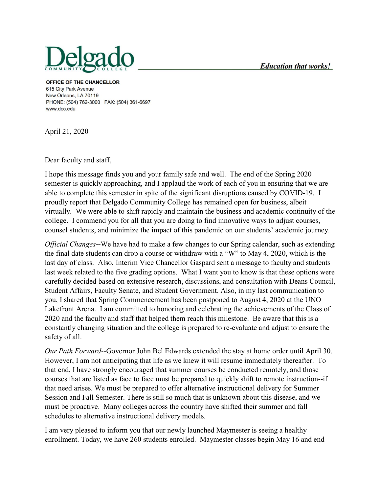

OFFICE OF THE CHANCELLOR 615 City Park Avenue New Orleans, LA 70119 PHONE: (504) 762-3000 FAX: (504) 361-6697 www.dcc.edu

April 21, 2020

Dear faculty and staff,

I hope this message finds you and your family safe and well. The end of the Spring 2020 semester is quickly approaching, and I applaud the work of each of you in ensuring that we are able to complete this semester in spite of the significant disruptions caused by COVID-19. I proudly report that Delgado Community College has remained open for business, albeit virtually. We were able to shift rapidly and maintain the business and academic continuity of the college. I commend you for all that you are doing to find innovative ways to adjust courses, counsel students, and minimize the impact of this pandemic on our students' academic journey.

*Official Changes***--**We have had to make a few changes to our Spring calendar, such as extending the final date students can drop a course or withdraw with a "W" to May 4, 2020, which is the last day of class. Also, Interim Vice Chancellor Gaspard sent a message to faculty and students last week related to the five grading options. What I want you to know is that these options were carefully decided based on extensive research, discussions, and consultation with Deans Council, Student Affairs, Faculty Senate, and Student Government. Also, in my last communication to you, I shared that Spring Commencement has been postponed to August 4, 2020 at the UNO Lakefront Arena. I am committed to honoring and celebrating the achievements of the Class of 2020 and the faculty and staff that helped them reach this milestone. Be aware that this is a constantly changing situation and the college is prepared to re-evaluate and adjust to ensure the safety of all.

*Our Path Forward--*Governor John Bel Edwards extended the stay at home order until April 30. However, I am not anticipating that life as we knew it will resume immediately thereafter. To that end, I have strongly encouraged that summer courses be conducted remotely, and those courses that are listed as face to face must be prepared to quickly shift to remote instruction--if that need arises. We must be prepared to offer alternative instructional delivery for Summer Session and Fall Semester. There is still so much that is unknown about this disease, and we must be proactive. Many colleges across the country have shifted their summer and fall schedules to alternative instructional delivery models.

I am very pleased to inform you that our newly launched Maymester is seeing a healthy enrollment. Today, we have 260 students enrolled. Maymester classes begin May 16 and end